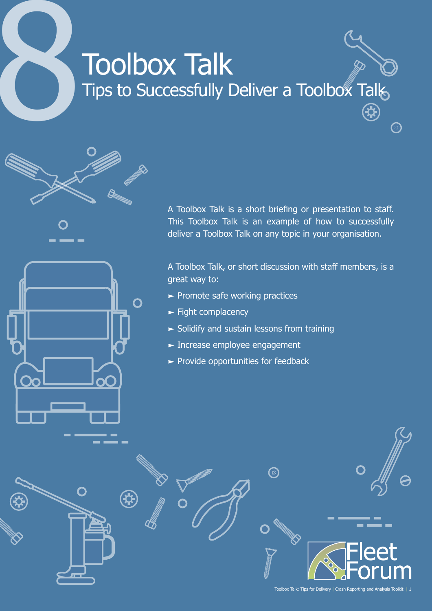# **Toolbox Talk** Tips to Successfully Deliver a Toolbox Talk 4

A Toolbox Talk is a short briefing or presentation to staff. This Toolbox Talk is an example of how to successfully

> A Toolbox Talk, or short discussion with staff members, is a great way to:

deliver a Toolbox Talk on any topic in your organisation.

ි

- $\blacktriangleright$  Promote safe working practices
- $\blacktriangleright$  Fight complacency

O

- $\blacktriangleright$  Solidify and sustain lessons from training
- **Increase employee engagement**
- $\blacktriangleright$  Provide opportunities for feedback

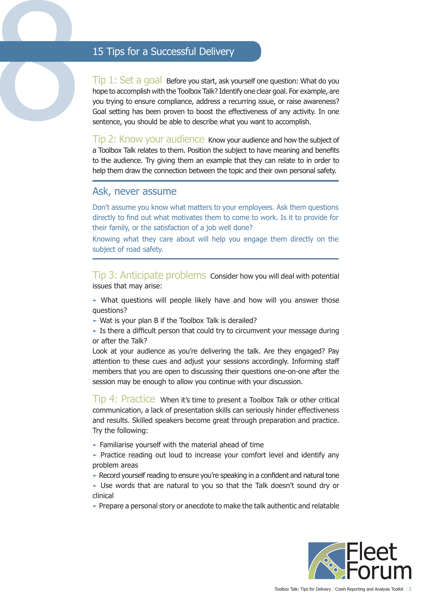15 Tips for a Successful Delivery<br>
Tip 1: Set a goal Before you start, ask y<br>
hope to accomplish with the Toolbox Talk? Ident<br>
you trying to ensure compliance, address a re<br>
Goal setting has been proven to boost the ef<br>
se  $\overline{\text{Tip 1: Set 2. Qoal}}$  Before you start, ask yourself one question: What do you hope to accomplish with the Toolbox Talk? Identify one clear goal. For example, are you trying to ensure compliance, address a recurring issue, or raise awareness? Goal setting has been proven to boost the effectiveness of any activity. In one sentence, you should be able to describe what you want to accomplish.

Tip 2: Know your audience Know your audience and how the subject of a Toolbox Talk relates to them. Position the subject to have meaning and benefits to the audience. Try giving them an example that they can relate to in order to help them draw the connection between the topic and their own personal safety.

### Ask, never assume

Don't assume you know what matters to your employees. Ask them questions directly to find out what motivates them to come to work. Is it to provide for their family, or the satisfaction of a job well done?

Knowing what they care about will help you engage them directly on the subject of road safety.

Tip 3: Anticipate problems Consider how you will deal with potential issues that may arise:

► What questions will people likely have and how will you answer those questions?

► Wat is your plan B if the Toolbox Talk is derailed?

 $\blacktriangleright$  Is there a difficult person that could try to circumvent your message during or after the Talk?

Look at your audience as you're delivering the talk. Are they engaged? Pay attention to these cues and adjust your sessions accordingly. Informing staff members that you are open to discussing their questions one-on-one after the session may be enough to allow you continue with your discussion.

Tip 4: Practice When it's time to present a Toolbox Talk or other critical communication, a lack of presentation skills can seriously hinder effectiveness and results. Skilled speakers become great through preparation and practice. Try the following:

► Familiarise yourself with the material ahead of time

- ► Practice reading out loud to increase your comfort level and identify any problem areas
- ► Record yourself reading to ensure you're speaking in a confident and natural tone
- ► Use words that are natural to you so that the Talk doesn't sound dry or clinical
- ► Prepare a personal story or anecdote to make the talk authentic and relatable

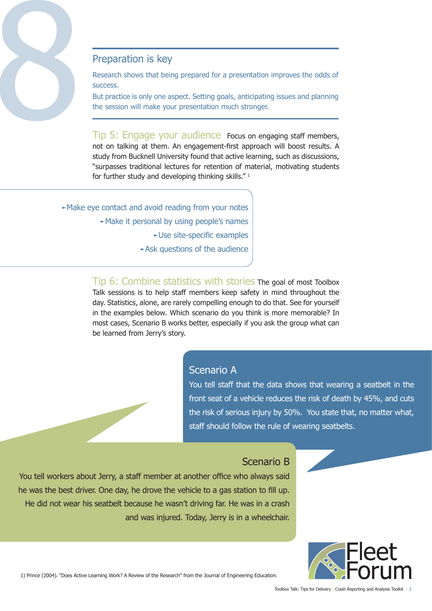

Research shows that being prepared for a presentation improves the odds of success.

But practice is only one aspect. Setting goals, anticipating issues and planning the session will make your presentation much stronger.

Tip 5: Engage your audience Focus on engaging staff members, not on talking at them. An engagement-first approach will boost results. A study from Bucknell University found that active learning, such as discussions, "surpasses traditional lectures for retention of material, motivating students for further study and developing thinking skills."<sup>1</sup>

►Make eye contact and avoid reading from your notes ►Make it personal by using people's names ►Use site-specific examples ►Ask questions of the audience

> Tip 6: Combine statistics with stories The goal of most Toolbox Talk sessions is to help staff members keep safety in mind throughout the day. Statistics, alone, are rarely compelling enough to do that. See for yourself in the examples below. Which scenario do you think is more memorable? In most cases, Scenario B works better, especially if you ask the group what can be learned from Jerry's story.

### Scenario A

You tell staff that the data shows that wearing a seatbelt in the front seat of a vehicle reduces the risk of death by 45%, and cuts the risk of serious injury by 50%. You state that, no matter what, staff should follow the rule of wearing seatbelts.

## Scenario B

You tell workers about Jerry, a staff member at another office who always said he was the best driver. One day, he drove the vehicle to a gas station to fill up. He did not wear his seatbelt because he wasn't driving far. He was in a crash and was injured. Today, Jerry is in a wheelchair.



1) Prince (2004). "Does Active Learning Work? A Review of the Research" from the Journal of Engineering Education.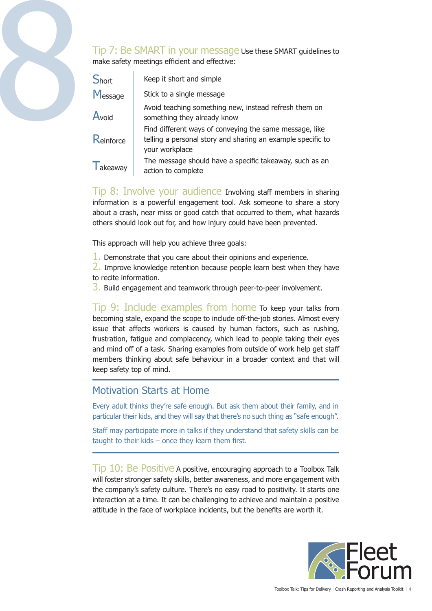

|  |              | Tip 7: Be SMART in your message Use these SMART guidelines to<br>make safety meetings efficient and effective:                           |
|--|--------------|------------------------------------------------------------------------------------------------------------------------------------------|
|  | <b>Short</b> | Keep it short and simple                                                                                                                 |
|  | Message      | Stick to a single message                                                                                                                |
|  | Avoid        | Avoid teaching something new, instead refresh them on<br>something they already know                                                     |
|  | Reinforce    | Find different ways of conveying the same message, like<br>telling a personal story and sharing an example specific to<br>your workplace |
|  | akeaway      | The message should have a specific takeaway, such as an<br>action to complete                                                            |

Tip 8: Involve your audience Involving staff members in sharing information is a powerful engagement tool. Ask someone to share a story about a crash, near miss or good catch that occurred to them, what hazards others should look out for, and how injury could have been prevented.

This approach will help you achieve three goals:

1. Demonstrate that you care about their opinions and experience.

2. Improve knowledge retention because people learn best when they have to recite information.

3. Build engagement and teamwork through peer-to-peer involvement.

Tip 9: Include examples from home To keep your talks from becoming stale, expand the scope to include off-the-job stories. Almost every issue that affects workers is caused by human factors, such as rushing, frustration, fatigue and complacency, which lead to people taking their eyes and mind off of a task. Sharing examples from outside of work help get staff members thinking about safe behaviour in a broader context and that will keep safety top of mind.

### Motivation Starts at Home

Every adult thinks they're safe enough. But ask them about their family, and in particular their kids, and they will say that there's no such thing as "safe enough".

Staff may participate more in talks if they understand that safety skills can be taught to their kids – once they learn them first.

Tip 10: Be Positive A positive, encouraging approach to a Toolbox Talk will foster stronger safety skills, better awareness, and more engagement with the company's safety culture. There's no easy road to positivity. It starts one interaction at a time. It can be challenging to achieve and maintain a positive attitude in the face of workplace incidents, but the benefits are worth it.